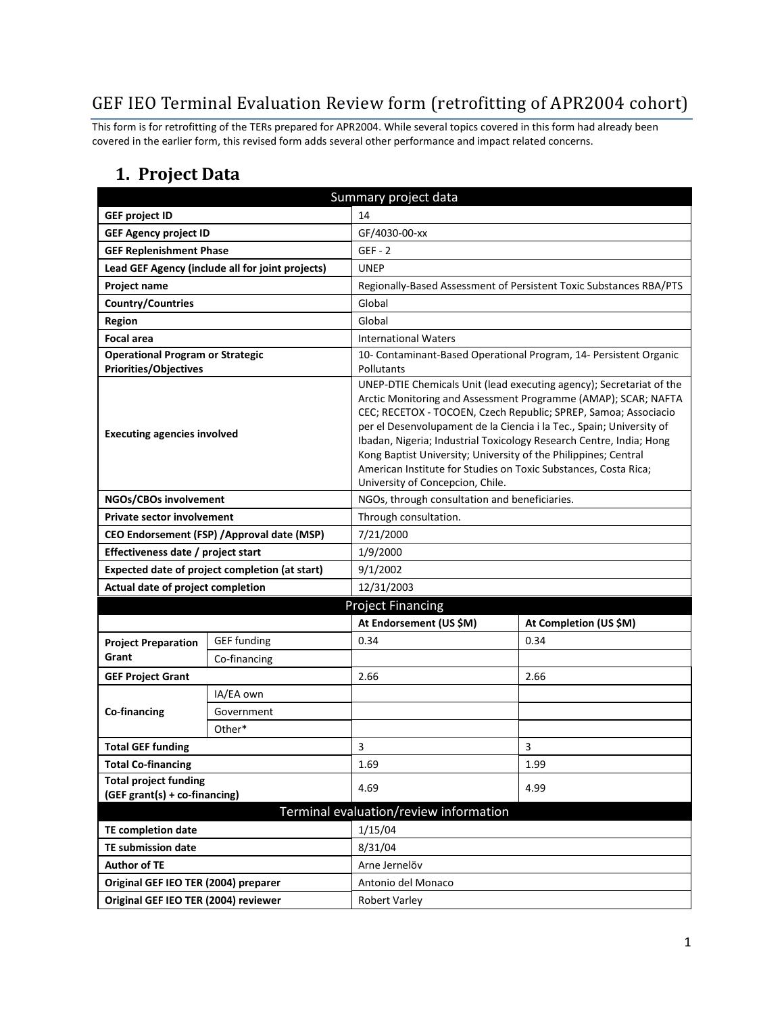# GEF IEO Terminal Evaluation Review form (retrofitting of APR2004 cohort)

This form is for retrofitting of the TERs prepared for APR2004. While several topics covered in this form had already been covered in the earlier form, this revised form adds several other performance and impact related concerns.

### **1. Project Data**

| Summary project data                                                    |                                                  |                                                                                                                                                                                                                                                                                                                                                                                                                                                                                                                                    |                                                                    |  |
|-------------------------------------------------------------------------|--------------------------------------------------|------------------------------------------------------------------------------------------------------------------------------------------------------------------------------------------------------------------------------------------------------------------------------------------------------------------------------------------------------------------------------------------------------------------------------------------------------------------------------------------------------------------------------------|--------------------------------------------------------------------|--|
| <b>GEF project ID</b>                                                   | 14                                               |                                                                                                                                                                                                                                                                                                                                                                                                                                                                                                                                    |                                                                    |  |
| <b>GEF Agency project ID</b>                                            |                                                  | GF/4030-00-xx                                                                                                                                                                                                                                                                                                                                                                                                                                                                                                                      |                                                                    |  |
| <b>GEF Replenishment Phase</b>                                          |                                                  | $GEF - 2$                                                                                                                                                                                                                                                                                                                                                                                                                                                                                                                          |                                                                    |  |
|                                                                         | Lead GEF Agency (include all for joint projects) | <b>UNEP</b>                                                                                                                                                                                                                                                                                                                                                                                                                                                                                                                        |                                                                    |  |
| Project name                                                            |                                                  |                                                                                                                                                                                                                                                                                                                                                                                                                                                                                                                                    | Regionally-Based Assessment of Persistent Toxic Substances RBA/PTS |  |
| <b>Country/Countries</b>                                                |                                                  | Global                                                                                                                                                                                                                                                                                                                                                                                                                                                                                                                             |                                                                    |  |
| <b>Region</b>                                                           |                                                  | Global                                                                                                                                                                                                                                                                                                                                                                                                                                                                                                                             |                                                                    |  |
| <b>Focal area</b>                                                       |                                                  | <b>International Waters</b>                                                                                                                                                                                                                                                                                                                                                                                                                                                                                                        |                                                                    |  |
| <b>Operational Program or Strategic</b><br><b>Priorities/Objectives</b> |                                                  | 10- Contaminant-Based Operational Program, 14- Persistent Organic<br>Pollutants                                                                                                                                                                                                                                                                                                                                                                                                                                                    |                                                                    |  |
| <b>Executing agencies involved</b>                                      |                                                  | UNEP-DTIE Chemicals Unit (lead executing agency); Secretariat of the<br>Arctic Monitoring and Assessment Programme (AMAP); SCAR; NAFTA<br>CEC; RECETOX - TOCOEN, Czech Republic; SPREP, Samoa; Associacio<br>per el Desenvolupament de la Ciencia i la Tec., Spain; University of<br>Ibadan, Nigeria; Industrial Toxicology Research Centre, India; Hong<br>Kong Baptist University; University of the Philippines; Central<br>American Institute for Studies on Toxic Substances, Costa Rica;<br>University of Concepcion, Chile. |                                                                    |  |
| NGOs/CBOs involvement                                                   |                                                  | NGOs, through consultation and beneficiaries.                                                                                                                                                                                                                                                                                                                                                                                                                                                                                      |                                                                    |  |
| <b>Private sector involvement</b>                                       |                                                  | Through consultation.                                                                                                                                                                                                                                                                                                                                                                                                                                                                                                              |                                                                    |  |
|                                                                         | CEO Endorsement (FSP) / Approval date (MSP)      | 7/21/2000                                                                                                                                                                                                                                                                                                                                                                                                                                                                                                                          |                                                                    |  |
| Effectiveness date / project start                                      |                                                  | 1/9/2000                                                                                                                                                                                                                                                                                                                                                                                                                                                                                                                           |                                                                    |  |
|                                                                         | Expected date of project completion (at start)   | 9/1/2002                                                                                                                                                                                                                                                                                                                                                                                                                                                                                                                           |                                                                    |  |
| Actual date of project completion                                       |                                                  | 12/31/2003                                                                                                                                                                                                                                                                                                                                                                                                                                                                                                                         |                                                                    |  |
|                                                                         |                                                  | <b>Project Financing</b>                                                                                                                                                                                                                                                                                                                                                                                                                                                                                                           |                                                                    |  |
|                                                                         |                                                  | At Endorsement (US \$M)                                                                                                                                                                                                                                                                                                                                                                                                                                                                                                            | At Completion (US \$M)                                             |  |
| <b>Project Preparation</b>                                              | <b>GEF</b> funding                               | 0.34                                                                                                                                                                                                                                                                                                                                                                                                                                                                                                                               | 0.34                                                               |  |
| Grant                                                                   | Co-financing                                     |                                                                                                                                                                                                                                                                                                                                                                                                                                                                                                                                    |                                                                    |  |
| <b>GEF Project Grant</b>                                                |                                                  | 2.66                                                                                                                                                                                                                                                                                                                                                                                                                                                                                                                               | 2.66                                                               |  |
|                                                                         | IA/EA own                                        |                                                                                                                                                                                                                                                                                                                                                                                                                                                                                                                                    |                                                                    |  |
| <b>Co-financing</b>                                                     | Government                                       |                                                                                                                                                                                                                                                                                                                                                                                                                                                                                                                                    |                                                                    |  |
|                                                                         | Other*                                           |                                                                                                                                                                                                                                                                                                                                                                                                                                                                                                                                    |                                                                    |  |
| <b>Total GEF funding</b>                                                |                                                  | 3                                                                                                                                                                                                                                                                                                                                                                                                                                                                                                                                  | 3                                                                  |  |
| <b>Total Co-financing</b>                                               |                                                  | 1.69                                                                                                                                                                                                                                                                                                                                                                                                                                                                                                                               | 1.99                                                               |  |
| <b>Total project funding</b><br>(GEF grant(s) + co-financing)           |                                                  | 4.69                                                                                                                                                                                                                                                                                                                                                                                                                                                                                                                               | 4.99                                                               |  |
|                                                                         |                                                  | Terminal evaluation/review information                                                                                                                                                                                                                                                                                                                                                                                                                                                                                             |                                                                    |  |
| <b>TE completion date</b>                                               |                                                  | 1/15/04                                                                                                                                                                                                                                                                                                                                                                                                                                                                                                                            |                                                                    |  |
| <b>TE submission date</b>                                               |                                                  | 8/31/04                                                                                                                                                                                                                                                                                                                                                                                                                                                                                                                            |                                                                    |  |
| <b>Author of TE</b>                                                     |                                                  | Arne Jernelöv                                                                                                                                                                                                                                                                                                                                                                                                                                                                                                                      |                                                                    |  |
| Original GEF IEO TER (2004) preparer                                    |                                                  | Antonio del Monaco                                                                                                                                                                                                                                                                                                                                                                                                                                                                                                                 |                                                                    |  |
| Original GEF IEO TER (2004) reviewer                                    |                                                  | <b>Robert Varley</b>                                                                                                                                                                                                                                                                                                                                                                                                                                                                                                               |                                                                    |  |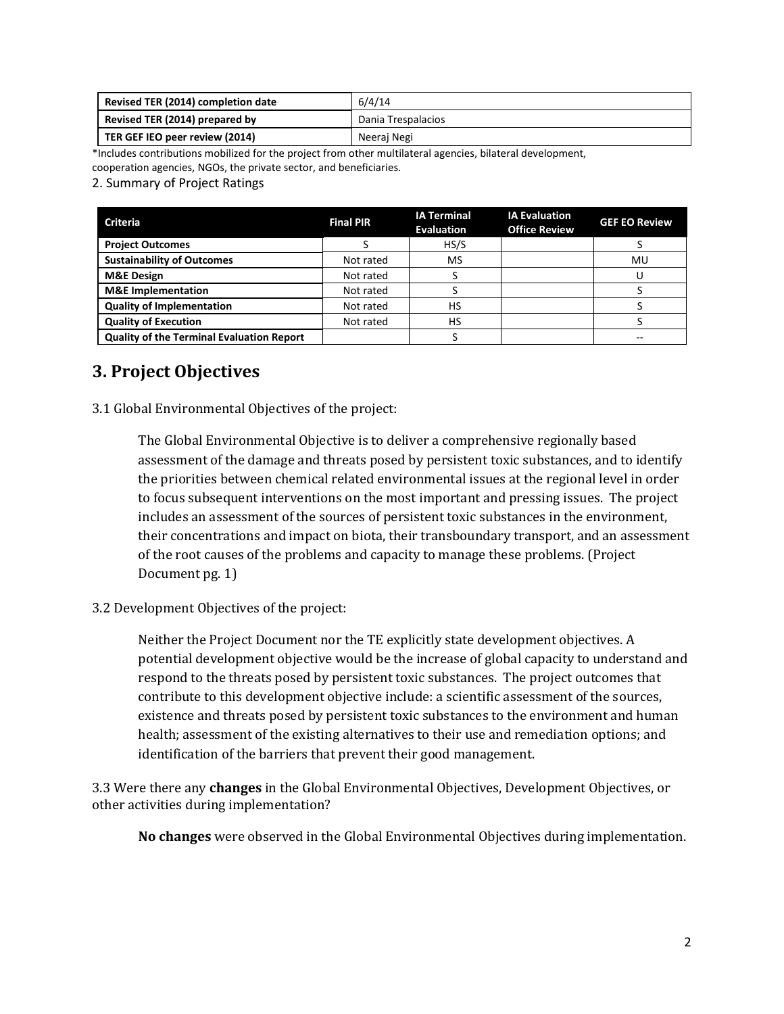| Revised TER (2014) completion date | 6/4/14             |
|------------------------------------|--------------------|
| Revised TER (2014) prepared by     | Dania Trespalacios |
| TER GEF IEO peer review (2014)     | Neeraj Negi        |

\*Includes contributions mobilized for the project from other multilateral agencies, bilateral development,

cooperation agencies, NGOs, the private sector, and beneficiaries.

2. Summary of Project Ratings

| <b>Criteria</b>                                  | <b>Final PIR</b> | <b>IA Terminal</b><br><b>Evaluation</b> | <b>IA Evaluation</b><br><b>Office Review</b> | <b>GEF EO Review</b> |
|--------------------------------------------------|------------------|-----------------------------------------|----------------------------------------------|----------------------|
| <b>Project Outcomes</b>                          |                  | HS/S                                    |                                              |                      |
| <b>Sustainability of Outcomes</b>                | Not rated        | <b>MS</b>                               |                                              | MU                   |
| <b>M&amp;E Design</b>                            | Not rated        |                                         |                                              |                      |
| <b>M&amp;E</b> Implementation                    | Not rated        |                                         |                                              |                      |
| <b>Quality of Implementation</b>                 | Not rated        | HS                                      |                                              |                      |
| <b>Quality of Execution</b>                      | Not rated        | HS                                      |                                              |                      |
| <b>Quality of the Terminal Evaluation Report</b> |                  |                                         |                                              |                      |

## **3. Project Objectives**

3.1 Global Environmental Objectives of the project:

The Global Environmental Objective is to deliver a comprehensive regionally based assessment of the damage and threats posed by persistent toxic substances, and to identify the priorities between chemical related environmental issues at the regional level in order to focus subsequent interventions on the most important and pressing issues. The project includes an assessment of the sources of persistent toxic substances in the environment, their concentrations and impact on biota, their transboundary transport, and an assessment of the root causes of the problems and capacity to manage these problems. (Project Document pg. 1)

#### 3.2 Development Objectives of the project:

Neither the Project Document nor the TE explicitly state development objectives. A potential development objective would be the increase of global capacity to understand and respond to the threats posed by persistent toxic substances. The project outcomes that contribute to this development objective include: a scientific assessment of the sources, existence and threats posed by persistent toxic substances to the environment and human health; assessment of the existing alternatives to their use and remediation options; and identification of the barriers that prevent their good management.

3.3 Were there any **changes** in the Global Environmental Objectives, Development Objectives, or other activities during implementation?

**No changes** were observed in the Global Environmental Objectives during implementation.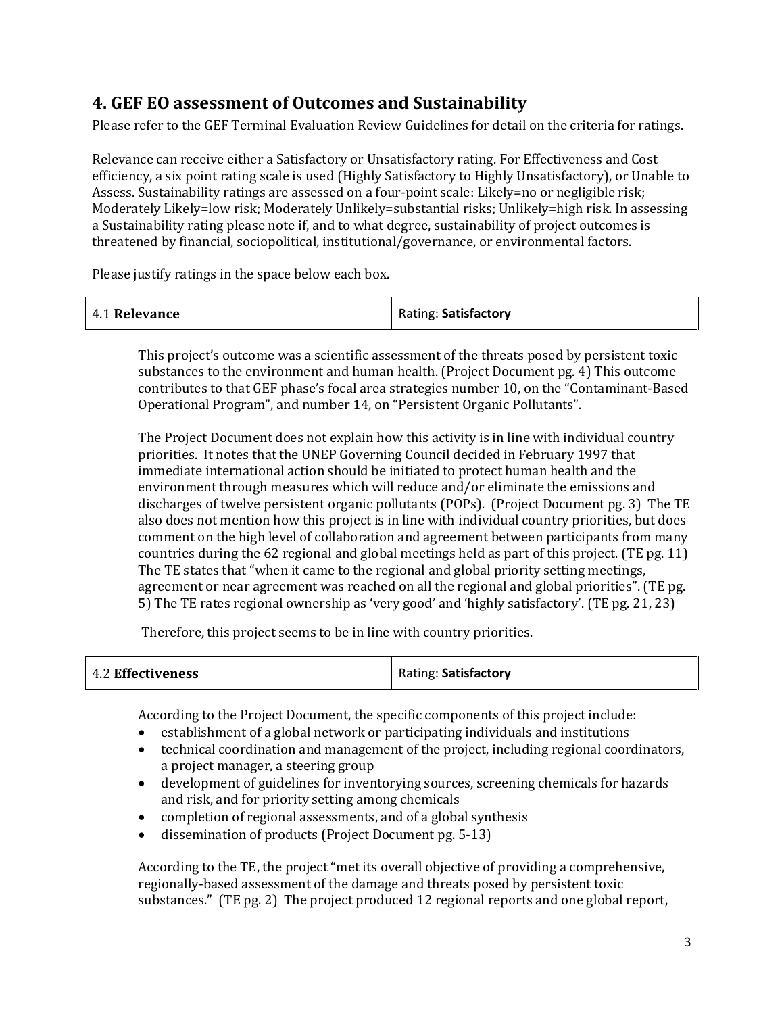## **4. GEF EO assessment of Outcomes and Sustainability**

Please refer to the GEF Terminal Evaluation Review Guidelines for detail on the criteria for ratings.

Relevance can receive either a Satisfactory or Unsatisfactory rating. For Effectiveness and Cost efficiency, a six point rating scale is used (Highly Satisfactory to Highly Unsatisfactory), or Unable to Assess. Sustainability ratings are assessed on a four-point scale: Likely=no or negligible risk; Moderately Likely=low risk; Moderately Unlikely=substantial risks; Unlikely=high risk. In assessing a Sustainability rating please note if, and to what degree, sustainability of project outcomes is threatened by financial, sociopolitical, institutional/governance, or environmental factors.

Please justify ratings in the space below each box.

| 4.1 Relevance | Rating: Satisfactory |
|---------------|----------------------|
|---------------|----------------------|

This project's outcome was a scientific assessment of the threats posed by persistent toxic substances to the environment and human health. (Project Document pg. 4) This outcome contributes to that GEF phase's focal area strategies number 10, on the "Contaminant-Based Operational Program", and number 14, on "Persistent Organic Pollutants".

The Project Document does not explain how this activity is in line with individual country priorities. It notes that the UNEP Governing Council decided in February 1997 that immediate international action should be initiated to protect human health and the environment through measures which will reduce and/or eliminate the emissions and discharges of twelve persistent organic pollutants (POPs). (Project Document pg. 3) The TE also does not mention how this project is in line with individual country priorities, but does comment on the high level of collaboration and agreement between participants from many countries during the 62 regional and global meetings held as part of this project. (TE pg. 11) The TE states that "when it came to the regional and global priority setting meetings, agreement or near agreement was reached on all the regional and global priorities". (TE pg. 5) The TE rates regional ownership as 'very good' and 'highly satisfactory'. (TE pg. 21, 23)

Therefore, this project seems to be in line with country priorities.

| 4.2 Effectiveness | Rating: Satisfactory |
|-------------------|----------------------|
|-------------------|----------------------|

According to the Project Document, the specific components of this project include:

- establishment of a global network or participating individuals and institutions
- technical coordination and management of the project, including regional coordinators, a project manager, a steering group
- development of guidelines for inventorying sources, screening chemicals for hazards and risk, and for priority setting among chemicals
- completion of regional assessments, and of a global synthesis
- dissemination of products (Project Document pg. 5-13)

According to the TE, the project "met its overall objective of providing a comprehensive, regionally-based assessment of the damage and threats posed by persistent toxic substances." (TE pg. 2) The project produced 12 regional reports and one global report,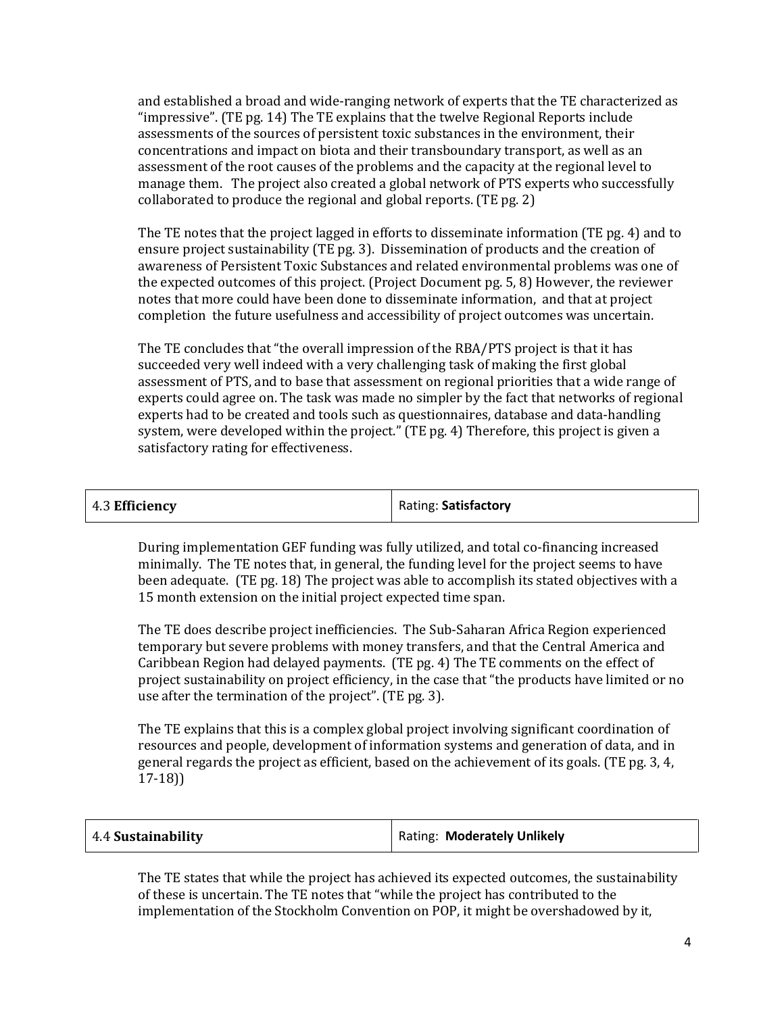and established a broad and wide-ranging network of experts that the TE characterized as "impressive". (TE pg. 14) The TE explains that the twelve Regional Reports include assessments of the sources of persistent toxic substances in the environment, their concentrations and impact on biota and their transboundary transport, as well as an assessment of the root causes of the problems and the capacity at the regional level to manage them. The project also created a global network of PTS experts who successfully collaborated to produce the regional and global reports. (TE pg. 2)

The TE notes that the project lagged in efforts to disseminate information (TE pg. 4) and to ensure project sustainability (TE pg. 3). Dissemination of products and the creation of awareness of Persistent Toxic Substances and related environmental problems was one of the expected outcomes of this project. (Project Document pg. 5, 8) However, the reviewer notes that more could have been done to disseminate information, and that at project completion the future usefulness and accessibility of project outcomes was uncertain.

The TE concludes that "the overall impression of the RBA/PTS project is that it has succeeded very well indeed with a very challenging task of making the first global assessment of PTS, and to base that assessment on regional priorities that a wide range of experts could agree on. The task was made no simpler by the fact that networks of regional experts had to be created and tools such as questionnaires, database and data-handling system, were developed within the project." (TE pg. 4) Therefore, this project is given a satisfactory rating for effectiveness.

| 4.3 Efficiency | Rating: Satisfactory |
|----------------|----------------------|
|                |                      |

During implementation GEF funding was fully utilized, and total co-financing increased minimally. The TE notes that, in general, the funding level for the project seems to have been adequate. (TE pg. 18) The project was able to accomplish its stated objectives with a 15 month extension on the initial project expected time span.

The TE does describe project inefficiencies. The Sub-Saharan Africa Region experienced temporary but severe problems with money transfers, and that the Central America and Caribbean Region had delayed payments. (TE pg. 4) The TE comments on the effect of project sustainability on project efficiency, in the case that "the products have limited or no use after the termination of the project". (TE pg. 3).

The TE explains that this is a complex global project involving significant coordination of resources and people, development of information systems and generation of data, and in general regards the project as efficient, based on the achievement of its goals. (TE pg. 3, 4, 17-18))

| 4.4 Sustainability | Rating: Moderately Unlikely |
|--------------------|-----------------------------|
|--------------------|-----------------------------|

The TE states that while the project has achieved its expected outcomes, the sustainability of these is uncertain. The TE notes that "while the project has contributed to the implementation of the Stockholm Convention on POP, it might be overshadowed by it,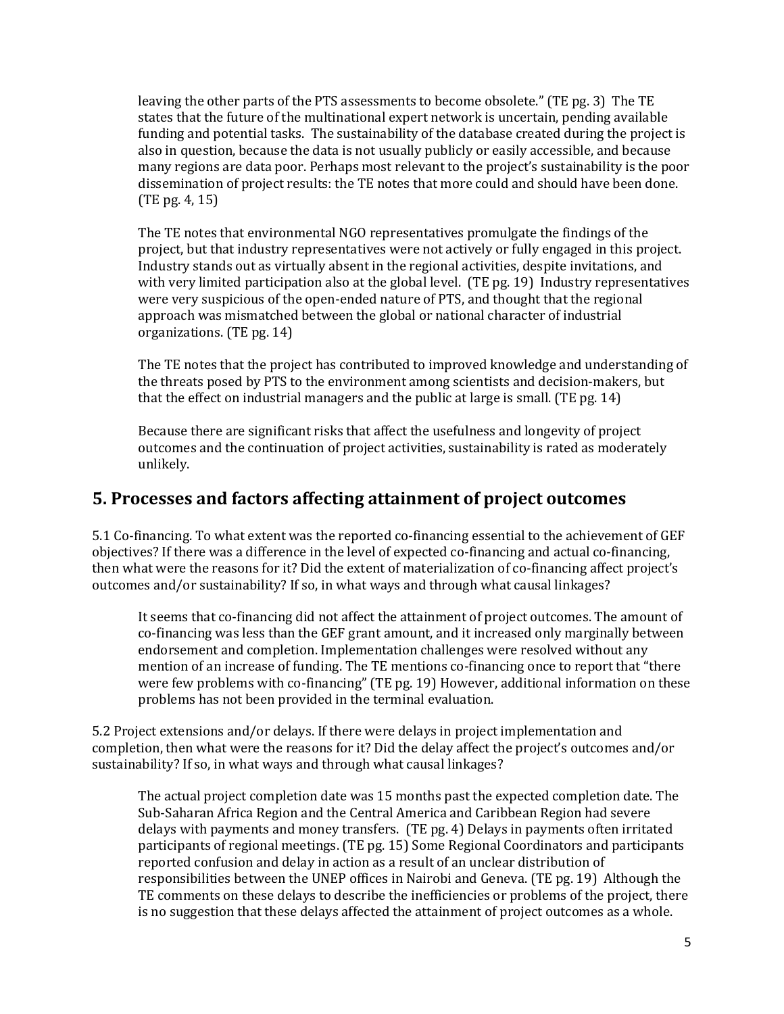leaving the other parts of the PTS assessments to become obsolete." (TE pg. 3) The TE states that the future of the multinational expert network is uncertain, pending available funding and potential tasks. The sustainability of the database created during the project is also in question, because the data is not usually publicly or easily accessible, and because many regions are data poor. Perhaps most relevant to the project's sustainability is the poor dissemination of project results: the TE notes that more could and should have been done. (TE pg. 4, 15)

The TE notes that environmental NGO representatives promulgate the findings of the project, but that industry representatives were not actively or fully engaged in this project. Industry stands out as virtually absent in the regional activities, despite invitations, and with very limited participation also at the global level. (TE pg. 19) Industry representatives were very suspicious of the open-ended nature of PTS, and thought that the regional approach was mismatched between the global or national character of industrial organizations. (TE pg. 14)

The TE notes that the project has contributed to improved knowledge and understanding of the threats posed by PTS to the environment among scientists and decision-makers, but that the effect on industrial managers and the public at large is small. (TE pg. 14)

Because there are significant risks that affect the usefulness and longevity of project outcomes and the continuation of project activities, sustainability is rated as moderately unlikely.

## **5. Processes and factors affecting attainment of project outcomes**

5.1 Co-financing. To what extent was the reported co-financing essential to the achievement of GEF objectives? If there was a difference in the level of expected co-financing and actual co-financing, then what were the reasons for it? Did the extent of materialization of co-financing affect project's outcomes and/or sustainability? If so, in what ways and through what causal linkages?

It seems that co-financing did not affect the attainment of project outcomes. The amount of co-financing was less than the GEF grant amount, and it increased only marginally between endorsement and completion. Implementation challenges were resolved without any mention of an increase of funding. The TE mentions co-financing once to report that "there were few problems with co-financing" (TE pg. 19) However, additional information on these problems has not been provided in the terminal evaluation.

5.2 Project extensions and/or delays. If there were delays in project implementation and completion, then what were the reasons for it? Did the delay affect the project's outcomes and/or sustainability? If so, in what ways and through what causal linkages?

The actual project completion date was 15 months past the expected completion date. The Sub-Saharan Africa Region and the Central America and Caribbean Region had severe delays with payments and money transfers. (TE pg. 4) Delays in payments often irritated participants of regional meetings. (TE pg. 15) Some Regional Coordinators and participants reported confusion and delay in action as a result of an unclear distribution of responsibilities between the UNEP offices in Nairobi and Geneva. (TE pg. 19) Although the TE comments on these delays to describe the inefficiencies or problems of the project, there is no suggestion that these delays affected the attainment of project outcomes as a whole.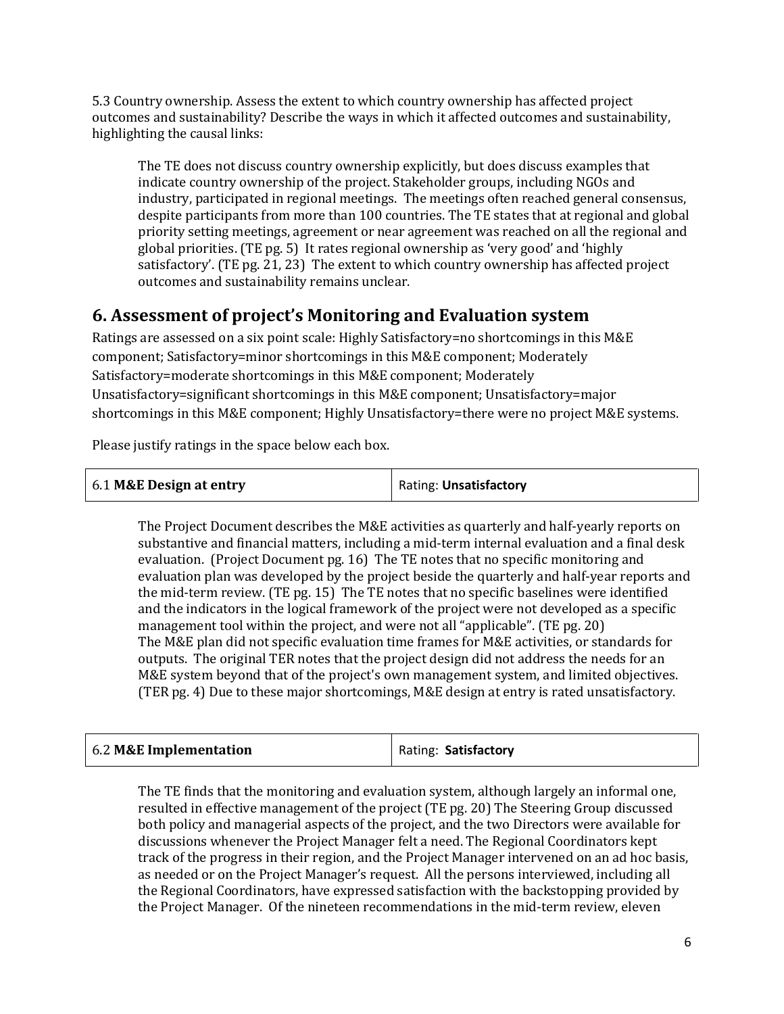5.3 Country ownership. Assess the extent to which country ownership has affected project outcomes and sustainability? Describe the ways in which it affected outcomes and sustainability, highlighting the causal links:

The TE does not discuss country ownership explicitly, but does discuss examples that indicate country ownership of the project. Stakeholder groups, including NGOs and industry, participated in regional meetings. The meetings often reached general consensus, despite participants from more than 100 countries. The TE states that at regional and global priority setting meetings, agreement or near agreement was reached on all the regional and global priorities. (TE pg. 5) It rates regional ownership as 'very good' and 'highly satisfactory'. (TE pg. 21, 23) The extent to which country ownership has affected project outcomes and sustainability remains unclear.

## **6. Assessment of project's Monitoring and Evaluation system**

Ratings are assessed on a six point scale: Highly Satisfactory=no shortcomings in this M&E component; Satisfactory=minor shortcomings in this M&E component; Moderately Satisfactory=moderate shortcomings in this M&E component; Moderately Unsatisfactory=significant shortcomings in this M&E component; Unsatisfactory=major shortcomings in this M&E component; Highly Unsatisfactory=there were no project M&E systems.

Please justify ratings in the space below each box.

| 6.1 M&E Design at entry | Rating: Unsatisfactory |
|-------------------------|------------------------|
|-------------------------|------------------------|

The Project Document describes the M&E activities as quarterly and half-yearly reports on substantive and financial matters, including a mid-term internal evaluation and a final desk evaluation. (Project Document pg. 16) The TE notes that no specific monitoring and evaluation plan was developed by the project beside the quarterly and half-year reports and the mid-term review. (TE pg. 15) The TE notes that no specific baselines were identified and the indicators in the logical framework of the project were not developed as a specific management tool within the project, and were not all "applicable". (TE pg. 20) The M&E plan did not specific evaluation time frames for M&E activities, or standards for outputs. The original TER notes that the project design did not address the needs for an M&E system beyond that of the project's own management system, and limited objectives. (TER pg. 4) Due to these major shortcomings, M&E design at entry is rated unsatisfactory.

| 6.2 M&E Implementation | Rating: Satisfactory |
|------------------------|----------------------|
|                        |                      |

The TE finds that the monitoring and evaluation system, although largely an informal one, resulted in effective management of the project (TE pg. 20) The Steering Group discussed both policy and managerial aspects of the project, and the two Directors were available for discussions whenever the Project Manager felt a need. The Regional Coordinators kept track of the progress in their region, and the Project Manager intervened on an ad hoc basis, as needed or on the Project Manager's request. All the persons interviewed, including all the Regional Coordinators, have expressed satisfaction with the backstopping provided by the Project Manager. Of the nineteen recommendations in the mid-term review, eleven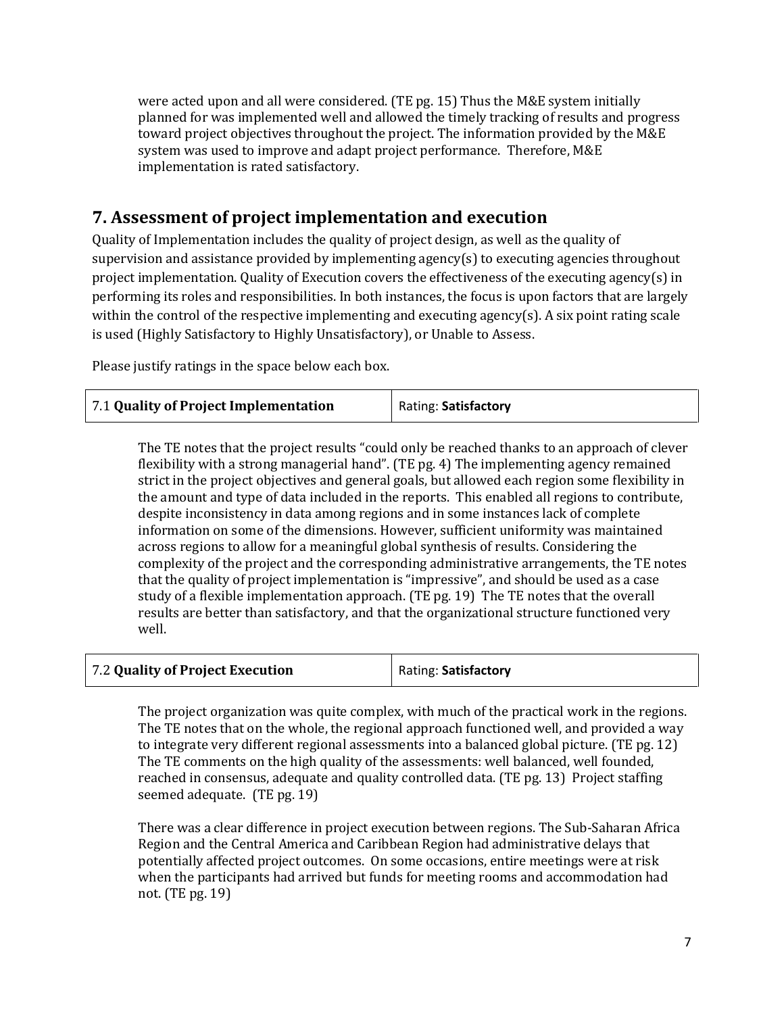were acted upon and all were considered. (TE pg. 15) Thus the M&E system initially planned for was implemented well and allowed the timely tracking of results and progress toward project objectives throughout the project. The information provided by the M&E system was used to improve and adapt project performance. Therefore, M&E implementation is rated satisfactory.

## **7. Assessment of project implementation and execution**

Quality of Implementation includes the quality of project design, as well as the quality of supervision and assistance provided by implementing agency(s) to executing agencies throughout project implementation. Quality of Execution covers the effectiveness of the executing agency(s) in performing its roles and responsibilities. In both instances, the focus is upon factors that are largely within the control of the respective implementing and executing agency(s). A six point rating scale is used (Highly Satisfactory to Highly Unsatisfactory), or Unable to Assess.

Please justify ratings in the space below each box.

| 7.1 Quality of Project Implementation | Rating: Satisfactory |
|---------------------------------------|----------------------|
|---------------------------------------|----------------------|

The TE notes that the project results "could only be reached thanks to an approach of clever flexibility with a strong managerial hand". (TE pg. 4) The implementing agency remained strict in the project objectives and general goals, but allowed each region some flexibility in the amount and type of data included in the reports. This enabled all regions to contribute, despite inconsistency in data among regions and in some instances lack of complete information on some of the dimensions. However, sufficient uniformity was maintained across regions to allow for a meaningful global synthesis of results. Considering the complexity of the project and the corresponding administrative arrangements, the TE notes that the quality of project implementation is "impressive", and should be used as a case study of a flexible implementation approach. (TE pg. 19) The TE notes that the overall results are better than satisfactory, and that the organizational structure functioned very well.

The project organization was quite complex, with much of the practical work in the regions. The TE notes that on the whole, the regional approach functioned well, and provided a way to integrate very different regional assessments into a balanced global picture. (TE pg. 12) The TE comments on the high quality of the assessments: well balanced, well founded, reached in consensus, adequate and quality controlled data. (TE pg. 13) Project staffing seemed adequate. (TE pg. 19)

There was a clear difference in project execution between regions. The Sub-Saharan Africa Region and the Central America and Caribbean Region had administrative delays that potentially affected project outcomes. On some occasions, entire meetings were at risk when the participants had arrived but funds for meeting rooms and accommodation had not. (TE pg. 19)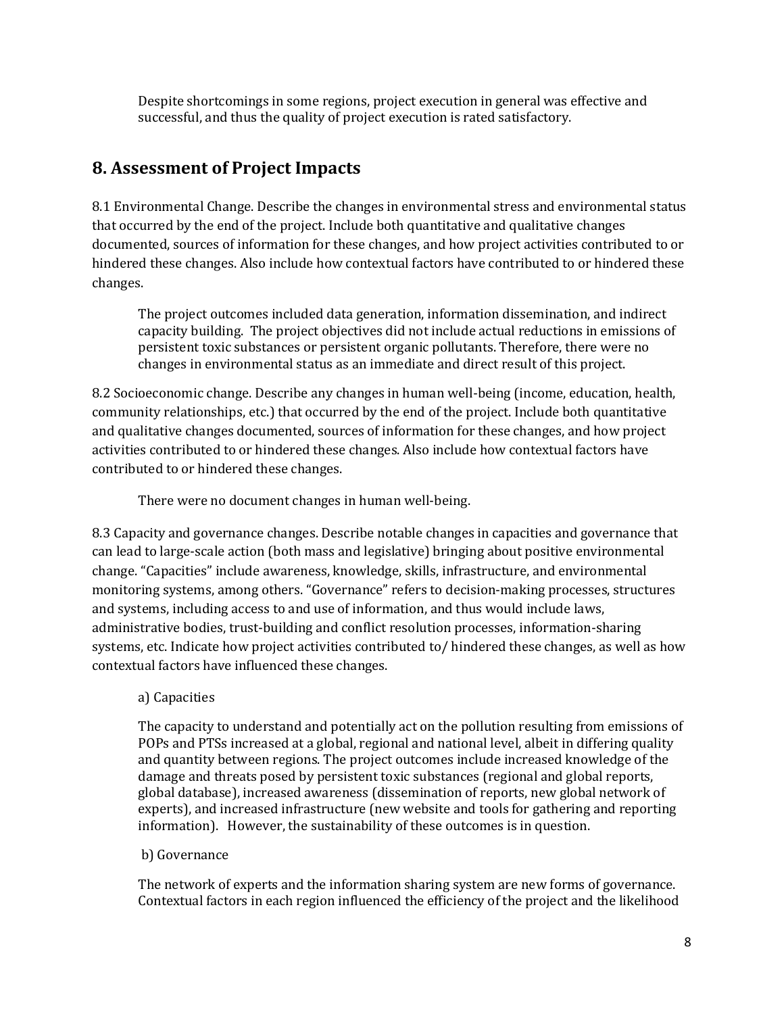Despite shortcomings in some regions, project execution in general was effective and successful, and thus the quality of project execution is rated satisfactory.

## **8. Assessment of Project Impacts**

8.1 Environmental Change. Describe the changes in environmental stress and environmental status that occurred by the end of the project. Include both quantitative and qualitative changes documented, sources of information for these changes, and how project activities contributed to or hindered these changes. Also include how contextual factors have contributed to or hindered these changes.

The project outcomes included data generation, information dissemination, and indirect capacity building. The project objectives did not include actual reductions in emissions of persistent toxic substances or persistent organic pollutants. Therefore, there were no changes in environmental status as an immediate and direct result of this project.

8.2 Socioeconomic change. Describe any changes in human well-being (income, education, health, community relationships, etc.) that occurred by the end of the project. Include both quantitative and qualitative changes documented, sources of information for these changes, and how project activities contributed to or hindered these changes. Also include how contextual factors have contributed to or hindered these changes.

There were no document changes in human well-being.

8.3 Capacity and governance changes. Describe notable changes in capacities and governance that can lead to large-scale action (both mass and legislative) bringing about positive environmental change. "Capacities" include awareness, knowledge, skills, infrastructure, and environmental monitoring systems, among others. "Governance" refers to decision-making processes, structures and systems, including access to and use of information, and thus would include laws, administrative bodies, trust-building and conflict resolution processes, information-sharing systems, etc. Indicate how project activities contributed to/ hindered these changes, as well as how contextual factors have influenced these changes.

### a) Capacities

The capacity to understand and potentially act on the pollution resulting from emissions of POPs and PTSs increased at a global, regional and national level, albeit in differing quality and quantity between regions. The project outcomes include increased knowledge of the damage and threats posed by persistent toxic substances (regional and global reports, global database), increased awareness (dissemination of reports, new global network of experts), and increased infrastructure (new website and tools for gathering and reporting information). However, the sustainability of these outcomes is in question.

#### b) Governance

The network of experts and the information sharing system are new forms of governance. Contextual factors in each region influenced the efficiency of the project and the likelihood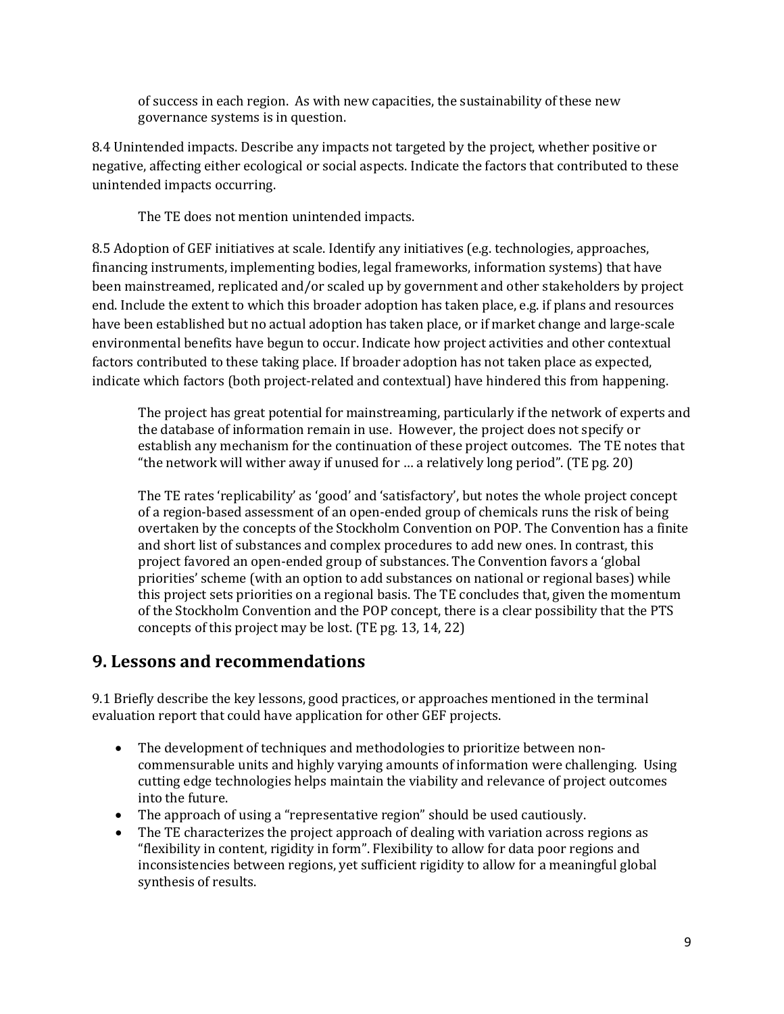of success in each region. As with new capacities, the sustainability of these new governance systems is in question.

8.4 Unintended impacts. Describe any impacts not targeted by the project, whether positive or negative, affecting either ecological or social aspects. Indicate the factors that contributed to these unintended impacts occurring.

The TE does not mention unintended impacts.

8.5 Adoption of GEF initiatives at scale. Identify any initiatives (e.g. technologies, approaches, financing instruments, implementing bodies, legal frameworks, information systems) that have been mainstreamed, replicated and/or scaled up by government and other stakeholders by project end. Include the extent to which this broader adoption has taken place, e.g. if plans and resources have been established but no actual adoption has taken place, or if market change and large-scale environmental benefits have begun to occur. Indicate how project activities and other contextual factors contributed to these taking place. If broader adoption has not taken place as expected, indicate which factors (both project-related and contextual) have hindered this from happening.

The project has great potential for mainstreaming, particularly if the network of experts and the database of information remain in use. However, the project does not specify or establish any mechanism for the continuation of these project outcomes. The TE notes that "the network will wither away if unused for … a relatively long period". (TE pg. 20)

The TE rates 'replicability' as 'good' and 'satisfactory', but notes the whole project concept of a region-based assessment of an open-ended group of chemicals runs the risk of being overtaken by the concepts of the Stockholm Convention on POP. The Convention has a finite and short list of substances and complex procedures to add new ones. In contrast, this project favored an open-ended group of substances. The Convention favors a 'global priorities' scheme (with an option to add substances on national or regional bases) while this project sets priorities on a regional basis. The TE concludes that, given the momentum of the Stockholm Convention and the POP concept, there is a clear possibility that the PTS concepts of this project may be lost. (TE pg. 13, 14, 22)

## **9. Lessons and recommendations**

9.1 Briefly describe the key lessons, good practices, or approaches mentioned in the terminal evaluation report that could have application for other GEF projects.

- The development of techniques and methodologies to prioritize between noncommensurable units and highly varying amounts of information were challenging. Using cutting edge technologies helps maintain the viability and relevance of project outcomes into the future.
- The approach of using a "representative region" should be used cautiously.
- The TE characterizes the project approach of dealing with variation across regions as "flexibility in content, rigidity in form". Flexibility to allow for data poor regions and inconsistencies between regions, yet sufficient rigidity to allow for a meaningful global synthesis of results.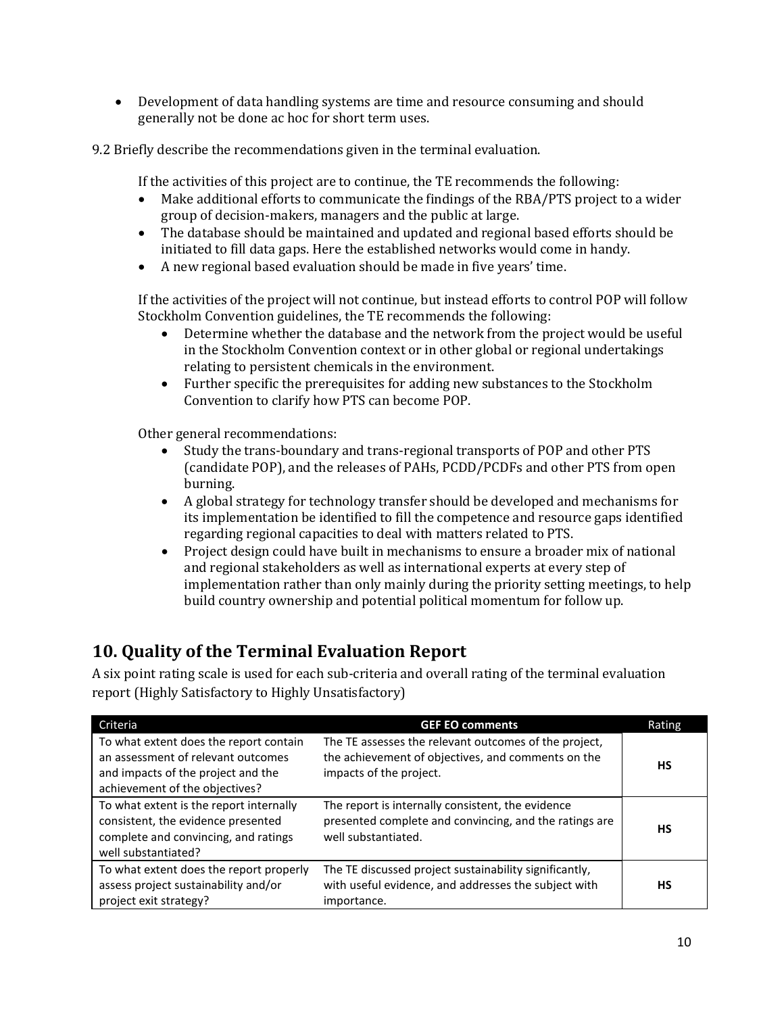• Development of data handling systems are time and resource consuming and should generally not be done ac hoc for short term uses.

9.2 Briefly describe the recommendations given in the terminal evaluation.

If the activities of this project are to continue, the TE recommends the following:

- Make additional efforts to communicate the findings of the RBA/PTS project to a wider group of decision-makers, managers and the public at large.
- The database should be maintained and updated and regional based efforts should be initiated to fill data gaps. Here the established networks would come in handy.
- A new regional based evaluation should be made in five years' time.

If the activities of the project will not continue, but instead efforts to control POP will follow Stockholm Convention guidelines, the TE recommends the following:<br>• Determine whether the database and the network from the pr

- Determine whether the database and the network from the project would be useful in the Stockholm Convention context or in other global or regional undertakings relating to persistent chemicals in the environment.
- Further specific the prerequisites for adding new substances to the Stockholm Convention to clarify how PTS can become POP.

Other general recommendations:

- Study the trans-boundary and trans-regional transports of POP and other PTS (candidate POP), and the releases of PAHs, PCDD/PCDFs and other PTS from open burning.
- A global strategy for technology transfer should be developed and mechanisms for its implementation be identified to fill the competence and resource gaps identified regarding regional capacities to deal with matters related to PTS.
- Project design could have built in mechanisms to ensure a broader mix of national and regional stakeholders as well as international experts at every step of implementation rather than only mainly during the priority setting meetings, to help build country ownership and potential political momentum for follow up.

## **10. Quality of the Terminal Evaluation Report**

A six point rating scale is used for each sub-criteria and overall rating of the terminal evaluation report (Highly Satisfactory to Highly Unsatisfactory)

| Criteria                                                                                                                                             | <b>GEF EO comments</b>                                                                                                                 | Rating |
|------------------------------------------------------------------------------------------------------------------------------------------------------|----------------------------------------------------------------------------------------------------------------------------------------|--------|
| To what extent does the report contain<br>an assessment of relevant outcomes<br>and impacts of the project and the<br>achievement of the objectives? | The TE assesses the relevant outcomes of the project,<br>the achievement of objectives, and comments on the<br>impacts of the project. | НS     |
| To what extent is the report internally<br>consistent, the evidence presented<br>complete and convincing, and ratings<br>well substantiated?         | The report is internally consistent, the evidence<br>presented complete and convincing, and the ratings are<br>well substantiated.     | НS     |
| To what extent does the report properly<br>assess project sustainability and/or<br>project exit strategy?                                            | The TE discussed project sustainability significantly,<br>with useful evidence, and addresses the subject with<br>importance.          | НS     |